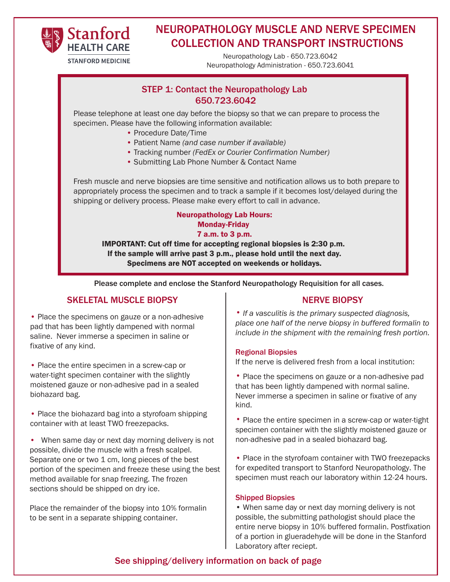

# NEUROPATHOLOGY MUSCLE AND NERVE SPECIMEN COLLECTION AND TRANSPORT INSTRUCTIONS

Neuropathology Lab - 650.723.6042 Neuropathology Administration - 650.723.6041

## STEP 1: Contact the Neuropathology Lab 650.723.6041 650.723.6042

Please telephone at least one day before the biopsy so that we can prepare to process the specimen. Please have the following information available:

- Procedure Date/Time
- Patient Name *(and case number if available)*
- Tracking number *(FedEx or Courier Confirmation Number)*
- Submitting Lab Phone Number & Contact Name

Fresh muscle and nerve biopsies are time sensitive and notification allows us to both prepare to appropriately process the specimen and to track a sample if it becomes lost/delayed during the shipping or delivery process. Please make every effort to call in advance.

### Neuropathology Lab Hours: Monday-Friday 7 a.m. to 3 p.m.

IMPORTANT: Cut off time for accepting regional biopsies is 2:30 p.m. If the sample will arrive past 3 p.m., please hold until the next day. Specimens are NOT accepted on weekends or holidays.

Please complete and enclose the Stanford Neuropathology Requisition for all cases.

### SKELETAL MUSCLE BIOPSY

• Place the specimens on gauze or a non-adhesive pad that has been lightly dampened with normal saline. Never immerse a specimen in saline or fixative of any kind.

• Place the entire specimen in a screw-cap or water-tight specimen container with the slightly moistened gauze or non-adhesive pad in a sealed biohazard bag.

• Place the biohazard bag into a styrofoam shipping container with at least TWO freezepacks.

• When same day or next day morning delivery is not possible, divide the muscle with a fresh scalpel. Separate one or two 1 cm, long pieces of the best portion of the specimen and freeze these using the best method available for snap freezing. The frozen sections should be shipped on dry ice.

Place the remainder of the biopsy into 10% formalin to be sent in a separate shipping container.

### NERVE BIOPSY

*• If a vasculitis is the primary suspected diagnosis, place one half of the nerve biopsy in buffered formalin to include in the shipment with the remaining fresh portion.*

#### Regional Biopsies

If the nerve is delivered fresh from a local institution:

• Place the specimens on gauze or a non-adhesive pad that has been lightly dampened with normal saline. Never immerse a specimen in saline or fixative of any kind.

• Place the entire specimen in a screw-cap or water-tight specimen container with the slightly moistened gauze or non-adhesive pad in a sealed biohazard bag.

• Place in the styrofoam container with TWO freezepacks for expedited transport to Stanford Neuropathology. The specimen must reach our laboratory within 12-24 hours.

#### Shipped Biopsies

• When same day or next day morning delivery is not possible, the submitting pathologist should place the entire nerve biopsy in 10% buffered formalin. Postfixation of a portion in glueradehyde will be done in the Stanford Laboratory after reciept.

### See shipping/delivery information on back of page